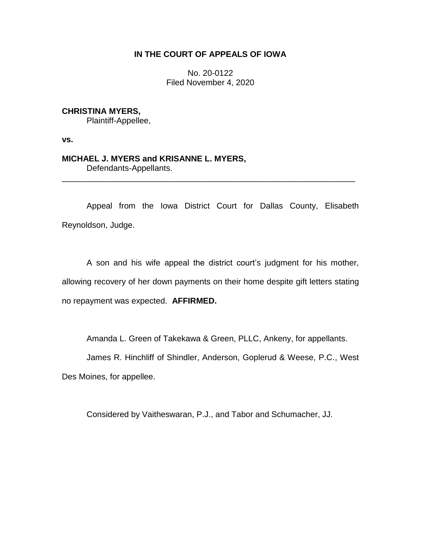# **IN THE COURT OF APPEALS OF IOWA**

No. 20-0122 Filed November 4, 2020

# **CHRISTINA MYERS,**

Plaintiff-Appellee,

**vs.**

## **MICHAEL J. MYERS and KRISANNE L. MYERS,** Defendants-Appellants.

Appeal from the Iowa District Court for Dallas County, Elisabeth Reynoldson, Judge.

\_\_\_\_\_\_\_\_\_\_\_\_\_\_\_\_\_\_\_\_\_\_\_\_\_\_\_\_\_\_\_\_\_\_\_\_\_\_\_\_\_\_\_\_\_\_\_\_\_\_\_\_\_\_\_\_\_\_\_\_\_\_\_\_

A son and his wife appeal the district court's judgment for his mother, allowing recovery of her down payments on their home despite gift letters stating no repayment was expected. **AFFIRMED.**

Amanda L. Green of Takekawa & Green, PLLC, Ankeny, for appellants.

James R. Hinchliff of Shindler, Anderson, Goplerud & Weese, P.C., West Des Moines, for appellee.

Considered by Vaitheswaran, P.J., and Tabor and Schumacher, JJ.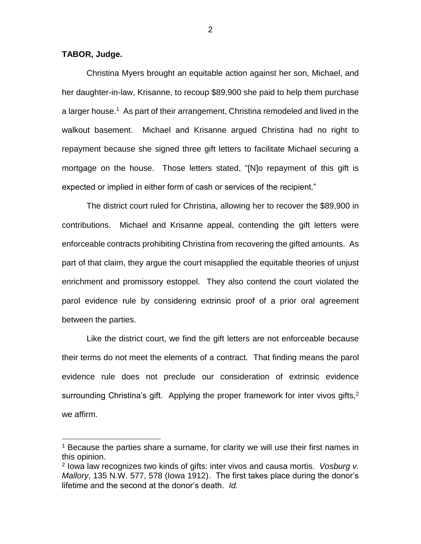### **TABOR, Judge.**

 $\overline{a}$ 

Christina Myers brought an equitable action against her son, Michael, and her daughter-in-law, Krisanne, to recoup \$89,900 she paid to help them purchase a larger house.<sup>1</sup> As part of their arrangement, Christina remodeled and lived in the walkout basement. Michael and Krisanne argued Christina had no right to repayment because she signed three gift letters to facilitate Michael securing a mortgage on the house. Those letters stated, "[N]o repayment of this gift is expected or implied in either form of cash or services of the recipient."

The district court ruled for Christina, allowing her to recover the \$89,900 in contributions. Michael and Krisanne appeal, contending the gift letters were enforceable contracts prohibiting Christina from recovering the gifted amounts. As part of that claim, they argue the court misapplied the equitable theories of unjust enrichment and promissory estoppel. They also contend the court violated the parol evidence rule by considering extrinsic proof of a prior oral agreement between the parties.

Like the district court, we find the gift letters are not enforceable because their terms do not meet the elements of a contract. That finding means the parol evidence rule does not preclude our consideration of extrinsic evidence surrounding Christina's gift. Applying the proper framework for inter vivos gifts,  $2^{\circ}$ we affirm.

<sup>1</sup> Because the parties share a surname, for clarity we will use their first names in this opinion.

<sup>2</sup> Iowa law recognizes two kinds of gifts: inter vivos and causa mortis. *Vosburg v. Mallory*, 135 N.W. 577, 578 (Iowa 1912). The first takes place during the donor's lifetime and the second at the donor's death. *Id.*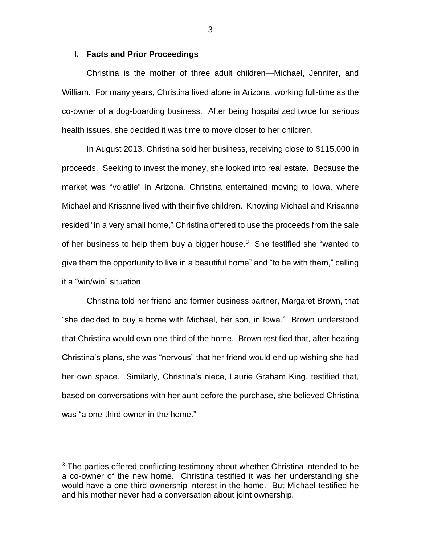#### **I. Facts and Prior Proceedings**

Christina is the mother of three adult children—Michael, Jennifer, and William. For many years, Christina lived alone in Arizona, working full-time as the co-owner of a dog-boarding business. After being hospitalized twice for serious health issues, she decided it was time to move closer to her children.

In August 2013, Christina sold her business, receiving close to \$115,000 in proceeds. Seeking to invest the money, she looked into real estate. Because the market was "volatile" in Arizona, Christina entertained moving to Iowa, where Michael and Krisanne lived with their five children. Knowing Michael and Krisanne resided "in a very small home," Christina offered to use the proceeds from the sale of her business to help them buy a bigger house. $3$  She testified she "wanted to give them the opportunity to live in a beautiful home" and "to be with them," calling it a "win/win" situation.

Christina told her friend and former business partner, Margaret Brown, that "she decided to buy a home with Michael, her son, in Iowa." Brown understood that Christina would own one-third of the home. Brown testified that, after hearing Christina's plans, she was "nervous" that her friend would end up wishing she had her own space. Similarly, Christina's niece, Laurie Graham King, testified that, based on conversations with her aunt before the purchase, she believed Christina was "a one-third owner in the home."

 $\overline{a}$ 

 $3$  The parties offered conflicting testimony about whether Christina intended to be a co-owner of the new home. Christina testified it was her understanding she would have a one-third ownership interest in the home. But Michael testified he and his mother never had a conversation about joint ownership.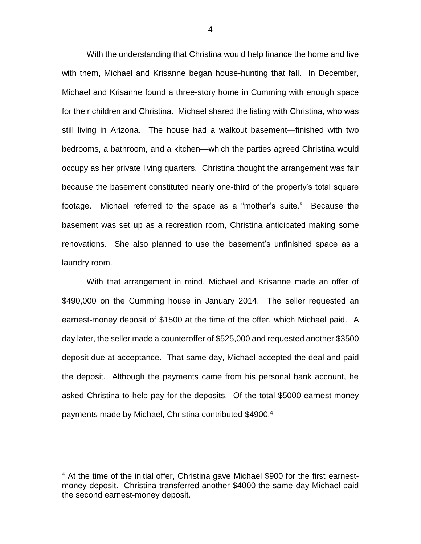With the understanding that Christina would help finance the home and live with them, Michael and Krisanne began house-hunting that fall. In December, Michael and Krisanne found a three-story home in Cumming with enough space for their children and Christina. Michael shared the listing with Christina, who was still living in Arizona. The house had a walkout basement—finished with two bedrooms, a bathroom, and a kitchen—which the parties agreed Christina would occupy as her private living quarters. Christina thought the arrangement was fair because the basement constituted nearly one-third of the property's total square footage. Michael referred to the space as a "mother's suite." Because the basement was set up as a recreation room, Christina anticipated making some renovations. She also planned to use the basement's unfinished space as a laundry room.

With that arrangement in mind, Michael and Krisanne made an offer of \$490,000 on the Cumming house in January 2014. The seller requested an earnest-money deposit of \$1500 at the time of the offer, which Michael paid. A day later, the seller made a counteroffer of \$525,000 and requested another \$3500 deposit due at acceptance. That same day, Michael accepted the deal and paid the deposit. Although the payments came from his personal bank account, he asked Christina to help pay for the deposits. Of the total \$5000 earnest-money payments made by Michael, Christina contributed \$4900. 4

<sup>&</sup>lt;sup>4</sup> At the time of the initial offer, Christina gave Michael \$900 for the first earnestmoney deposit. Christina transferred another \$4000 the same day Michael paid the second earnest-money deposit.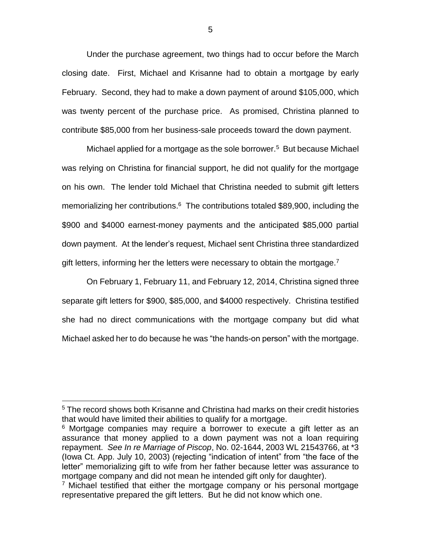Under the purchase agreement, two things had to occur before the March closing date. First, Michael and Krisanne had to obtain a mortgage by early February. Second, they had to make a down payment of around \$105,000, which was twenty percent of the purchase price. As promised, Christina planned to contribute \$85,000 from her business-sale proceeds toward the down payment.

Michael applied for a mortgage as the sole borrower.<sup>5</sup> But because Michael was relying on Christina for financial support, he did not qualify for the mortgage on his own. The lender told Michael that Christina needed to submit gift letters memorializing her contributions.<sup>6</sup> The contributions totaled \$89,900, including the \$900 and \$4000 earnest-money payments and the anticipated \$85,000 partial down payment. At the lender's request, Michael sent Christina three standardized gift letters, informing her the letters were necessary to obtain the mortgage.<sup>7</sup>

On February 1, February 11, and February 12, 2014, Christina signed three separate gift letters for \$900, \$85,000, and \$4000 respectively. Christina testified she had no direct communications with the mortgage company but did what Michael asked her to do because he was "the hands-on person" with the mortgage.

 $\overline{a}$ 

<sup>5</sup> The record shows both Krisanne and Christina had marks on their credit histories that would have limited their abilities to qualify for a mortgage.

<sup>&</sup>lt;sup>6</sup> Mortgage companies may require a borrower to execute a gift letter as an assurance that money applied to a down payment was not a loan requiring repayment. *See In re Marriage of Piscop*, No. 02-1644, 2003 WL 21543766, at \*3 (Iowa Ct. App. July 10, 2003) (rejecting "indication of intent" from "the face of the letter" memorializing gift to wife from her father because letter was assurance to mortgage company and did not mean he intended gift only for daughter).

 $7$  Michael testified that either the mortgage company or his personal mortgage representative prepared the gift letters. But he did not know which one.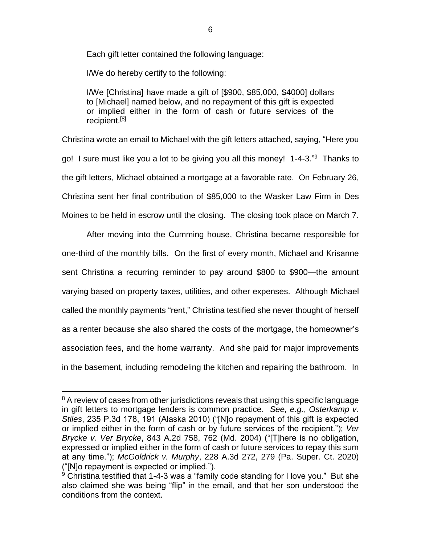Each gift letter contained the following language:

I/We do hereby certify to the following:

I/We [Christina] have made a gift of [\$900, \$85,000, \$4000] dollars to [Michael] named below, and no repayment of this gift is expected or implied either in the form of cash or future services of the recipient.[8]

Christina wrote an email to Michael with the gift letters attached, saying, "Here you go! I sure must like you a lot to be giving you all this money! 1-4-3." Thanks to the gift letters, Michael obtained a mortgage at a favorable rate. On February 26, Christina sent her final contribution of \$85,000 to the Wasker Law Firm in Des Moines to be held in escrow until the closing. The closing took place on March 7.

After moving into the Cumming house, Christina became responsible for one-third of the monthly bills. On the first of every month, Michael and Krisanne sent Christina a recurring reminder to pay around \$800 to \$900—the amount varying based on property taxes, utilities, and other expenses. Although Michael called the monthly payments "rent," Christina testified she never thought of herself as a renter because she also shared the costs of the mortgage, the homeowner's association fees, and the home warranty. And she paid for major improvements in the basement, including remodeling the kitchen and repairing the bathroom. In

<sup>&</sup>lt;sup>8</sup> A review of cases from other jurisdictions reveals that using this specific language in gift letters to mortgage lenders is common practice. *See, e.g.*, *Osterkamp v. Stiles*, 235 P.3d 178, 191 (Alaska 2010) ("[N]o repayment of this gift is expected or implied either in the form of cash or by future services of the recipient."); *Ver Brycke v. Ver Brycke*, 843 A.2d 758, 762 (Md. 2004) ("[T]here is no obligation, expressed or implied either in the form of cash or future services to repay this sum at any time."); *McGoldrick v. Murphy*, 228 A.3d 272, 279 (Pa. Super. Ct. 2020) ("[N]o repayment is expected or implied.").

 $9$  Christina testified that 1-4-3 was a "family code standing for I love you." But she also claimed she was being "flip" in the email, and that her son understood the conditions from the context.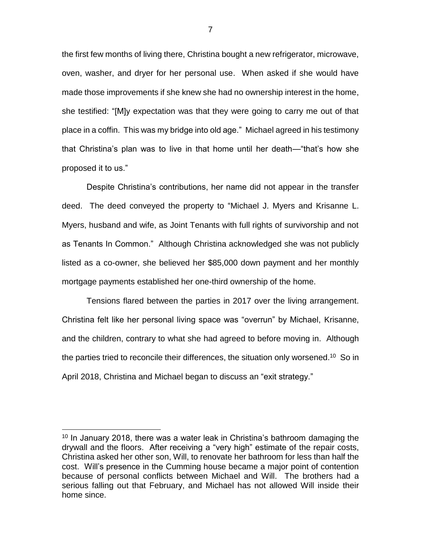the first few months of living there, Christina bought a new refrigerator, microwave, oven, washer, and dryer for her personal use. When asked if she would have made those improvements if she knew she had no ownership interest in the home, she testified: "[M]y expectation was that they were going to carry me out of that place in a coffin. This was my bridge into old age." Michael agreed in his testimony that Christina's plan was to live in that home until her death—"that's how she proposed it to us."

Despite Christina's contributions, her name did not appear in the transfer deed. The deed conveyed the property to "Michael J. Myers and Krisanne L. Myers, husband and wife, as Joint Tenants with full rights of survivorship and not as Tenants In Common." Although Christina acknowledged she was not publicly listed as a co-owner, she believed her \$85,000 down payment and her monthly mortgage payments established her one-third ownership of the home.

Tensions flared between the parties in 2017 over the living arrangement. Christina felt like her personal living space was "overrun" by Michael, Krisanne, and the children, contrary to what she had agreed to before moving in. Although the parties tried to reconcile their differences, the situation only worsened.<sup>10</sup> So in April 2018, Christina and Michael began to discuss an "exit strategy."

 $\overline{a}$ 

 $10$  In January 2018, there was a water leak in Christina's bathroom damaging the drywall and the floors. After receiving a "very high" estimate of the repair costs, Christina asked her other son, Will, to renovate her bathroom for less than half the cost. Will's presence in the Cumming house became a major point of contention because of personal conflicts between Michael and Will. The brothers had a serious falling out that February, and Michael has not allowed Will inside their home since.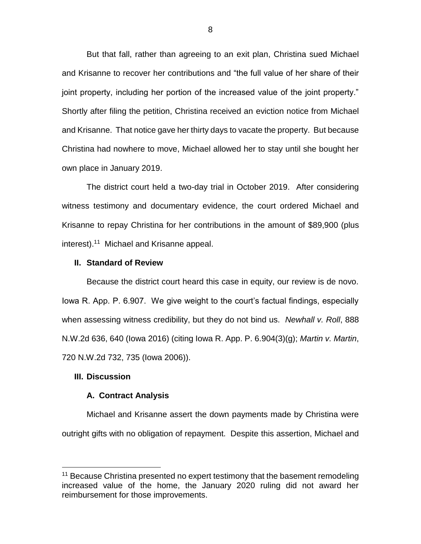But that fall, rather than agreeing to an exit plan, Christina sued Michael and Krisanne to recover her contributions and "the full value of her share of their joint property, including her portion of the increased value of the joint property." Shortly after filing the petition, Christina received an eviction notice from Michael and Krisanne. That notice gave her thirty days to vacate the property. But because Christina had nowhere to move, Michael allowed her to stay until she bought her own place in January 2019.

The district court held a two-day trial in October 2019. After considering witness testimony and documentary evidence, the court ordered Michael and Krisanne to repay Christina for her contributions in the amount of \$89,900 (plus interest). 11 Michael and Krisanne appeal.

### **II. Standard of Review**

Because the district court heard this case in equity, our review is de novo. Iowa R. App. P. 6.907. We give weight to the court's factual findings, especially when assessing witness credibility, but they do not bind us. *Newhall v. Roll*, 888 N.W.2d 636, 640 (Iowa 2016) (citing Iowa R. App. P. 6.904(3)(g); *Martin v. Martin*, 720 N.W.2d 732, 735 (Iowa 2006)).

### **III. Discussion**

 $\overline{a}$ 

### **A. Contract Analysis**

Michael and Krisanne assert the down payments made by Christina were outright gifts with no obligation of repayment. Despite this assertion, Michael and

 $11$  Because Christina presented no expert testimony that the basement remodeling increased value of the home, the January 2020 ruling did not award her reimbursement for those improvements.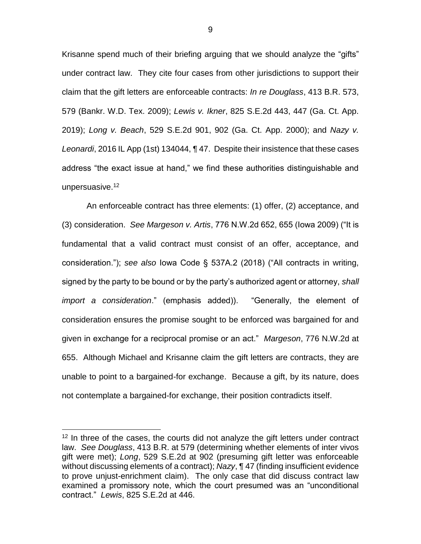Krisanne spend much of their briefing arguing that we should analyze the "gifts" under contract law. They cite four cases from other jurisdictions to support their claim that the gift letters are enforceable contracts: *In re Douglass*, 413 B.R. 573, 579 (Bankr. W.D. Tex. 2009); *Lewis v. Ikner*, 825 S.E.2d 443, 447 (Ga. Ct. App. 2019); *Long v. Beach*, 529 S.E.2d 901, 902 (Ga. Ct. App. 2000); and *Nazy v. Leonardi*, 2016 IL App (1st) 134044, ¶ 47. Despite their insistence that these cases address "the exact issue at hand," we find these authorities distinguishable and unpersuasive.<sup>12</sup>

An enforceable contract has three elements: (1) offer, (2) acceptance, and (3) consideration. *See Margeson v. Artis*, 776 N.W.2d 652, 655 (Iowa 2009) ("It is fundamental that a valid contract must consist of an offer, acceptance, and consideration."); *see also* Iowa Code § 537A.2 (2018) ("All contracts in writing, signed by the party to be bound or by the party's authorized agent or attorney, *shall import a consideration*." (emphasis added)). "Generally, the element of consideration ensures the promise sought to be enforced was bargained for and given in exchange for a reciprocal promise or an act." *Margeson*, 776 N.W.2d at 655. Although Michael and Krisanne claim the gift letters are contracts, they are unable to point to a bargained-for exchange. Because a gift, by its nature, does not contemplate a bargained-for exchange, their position contradicts itself.

 $12$  In three of the cases, the courts did not analyze the gift letters under contract law. *See Douglass*, 413 B.R. at 579 (determining whether elements of inter vivos gift were met); *Long*, 529 S.E.2d at 902 (presuming gift letter was enforceable without discussing elements of a contract); *Nazy*, ¶ 47 (finding insufficient evidence to prove unjust-enrichment claim). The only case that did discuss contract law examined a promissory note, which the court presumed was an "unconditional contract." *Lewis*, 825 S.E.2d at 446.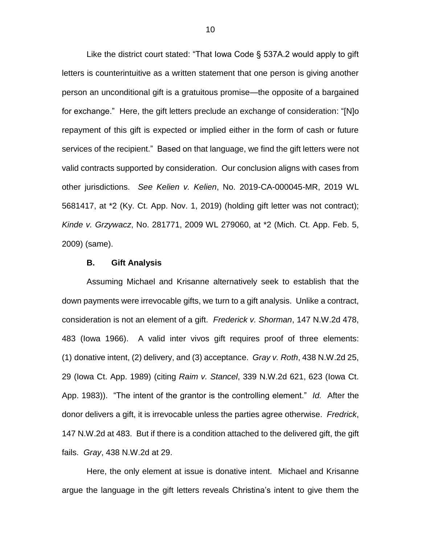Like the district court stated: "That Iowa Code § 537A.2 would apply to gift letters is counterintuitive as a written statement that one person is giving another person an unconditional gift is a gratuitous promise—the opposite of a bargained for exchange." Here, the gift letters preclude an exchange of consideration: "[N]o repayment of this gift is expected or implied either in the form of cash or future services of the recipient." Based on that language, we find the gift letters were not valid contracts supported by consideration. Our conclusion aligns with cases from other jurisdictions. *See Kelien v. Kelien*, No. 2019-CA-000045-MR, 2019 WL 5681417, at \*2 (Ky. Ct. App. Nov. 1, 2019) (holding gift letter was not contract); *Kinde v. Grzywacz*, No. 281771, 2009 WL 279060, at \*2 (Mich. Ct. App. Feb. 5, 2009) (same).

#### **B. Gift Analysis**

Assuming Michael and Krisanne alternatively seek to establish that the down payments were irrevocable gifts, we turn to a gift analysis. Unlike a contract, consideration is not an element of a gift. *Frederick v. Shorman*, 147 N.W.2d 478, 483 (Iowa 1966). A valid inter vivos gift requires proof of three elements: (1) donative intent, (2) delivery, and (3) acceptance. *Gray v. Roth*, 438 N.W.2d 25, 29 (Iowa Ct. App. 1989) (citing *Raim v. Stancel*, 339 N.W.2d 621, 623 (Iowa Ct. App. 1983)). "The intent of the grantor is the controlling element." *Id.* After the donor delivers a gift, it is irrevocable unless the parties agree otherwise. *Fredrick*, 147 N.W.2d at 483. But if there is a condition attached to the delivered gift, the gift fails. *Gray*, 438 N.W.2d at 29.

Here, the only element at issue is donative intent. Michael and Krisanne argue the language in the gift letters reveals Christina's intent to give them the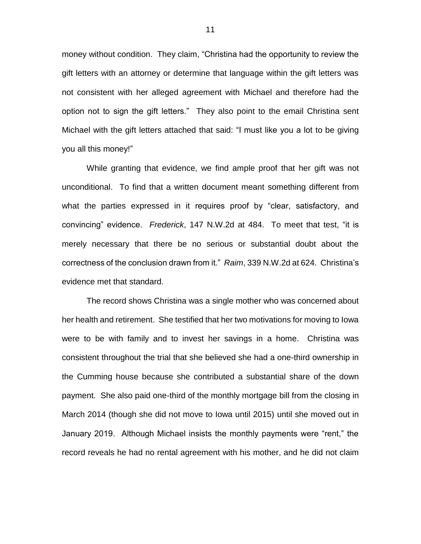money without condition. They claim, "Christina had the opportunity to review the gift letters with an attorney or determine that language within the gift letters was not consistent with her alleged agreement with Michael and therefore had the option not to sign the gift letters." They also point to the email Christina sent Michael with the gift letters attached that said: "I must like you a lot to be giving you all this money!"

While granting that evidence, we find ample proof that her gift was not unconditional. To find that a written document meant something different from what the parties expressed in it requires proof by "clear, satisfactory, and convincing" evidence. *Frederick*, 147 N.W.2d at 484. To meet that test, "it is merely necessary that there be no serious or substantial doubt about the correctness of the conclusion drawn from it." *Raim*, 339 N.W.2d at 624. Christina's evidence met that standard.

The record shows Christina was a single mother who was concerned about her health and retirement. She testified that her two motivations for moving to Iowa were to be with family and to invest her savings in a home. Christina was consistent throughout the trial that she believed she had a one-third ownership in the Cumming house because she contributed a substantial share of the down payment. She also paid one-third of the monthly mortgage bill from the closing in March 2014 (though she did not move to Iowa until 2015) until she moved out in January 2019. Although Michael insists the monthly payments were "rent," the record reveals he had no rental agreement with his mother, and he did not claim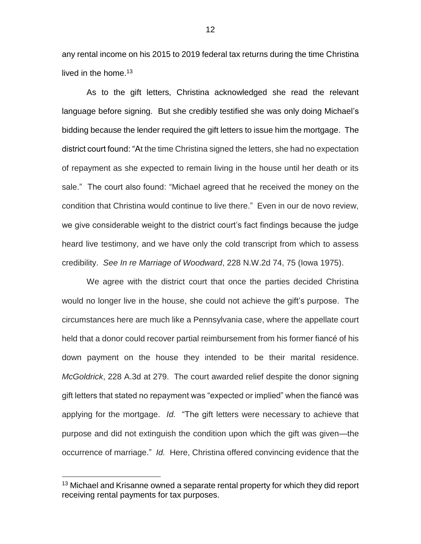any rental income on his 2015 to 2019 federal tax returns during the time Christina lived in the home.<sup>13</sup>

As to the gift letters, Christina acknowledged she read the relevant language before signing. But she credibly testified she was only doing Michael's bidding because the lender required the gift letters to issue him the mortgage. The district court found: "At the time Christina signed the letters, she had no expectation of repayment as she expected to remain living in the house until her death or its sale." The court also found: "Michael agreed that he received the money on the condition that Christina would continue to live there." Even in our de novo review, we give considerable weight to the district court's fact findings because the judge heard live testimony, and we have only the cold transcript from which to assess credibility. *See In re Marriage of Woodward*, 228 N.W.2d 74, 75 (Iowa 1975).

We agree with the district court that once the parties decided Christina would no longer live in the house, she could not achieve the gift's purpose. The circumstances here are much like a Pennsylvania case, where the appellate court held that a donor could recover partial reimbursement from his former fiancé of his down payment on the house they intended to be their marital residence. *McGoldrick*, 228 A.3d at 279. The court awarded relief despite the donor signing gift letters that stated no repayment was "expected or implied" when the fiancé was applying for the mortgage. *Id.* "The gift letters were necessary to achieve that purpose and did not extinguish the condition upon which the gift was given—the occurrence of marriage." *Id.* Here, Christina offered convincing evidence that the

<sup>&</sup>lt;sup>13</sup> Michael and Krisanne owned a separate rental property for which they did report receiving rental payments for tax purposes.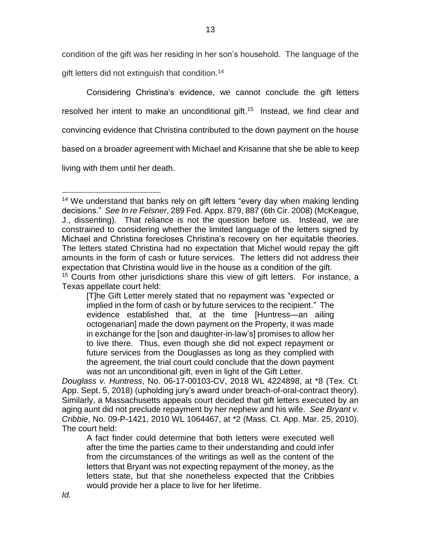condition of the gift was her residing in her son's household. The language of the gift letters did not extinguish that condition.<sup>14</sup>

Considering Christina's evidence, we cannot conclude the gift letters resolved her intent to make an unconditional gift.<sup>15</sup> Instead, we find clear and

convincing evidence that Christina contributed to the down payment on the house

based on a broader agreement with Michael and Krisanne that she be able to keep

living with them until her death.

 $\overline{a}$ 

Texas appellate court held:

<sup>&</sup>lt;sup>14</sup> We understand that banks rely on gift letters "every day when making lending decisions." *See In re Felsner*, 289 Fed. Appx. 879, 887 (6th Cir. 2008) (McKeague, J., dissenting). That reliance is not the question before us. Instead, we are constrained to considering whether the limited language of the letters signed by Michael and Christina forecloses Christina's recovery on her equitable theories. The letters stated Christina had no expectation that Michel would repay the gift amounts in the form of cash or future services. The letters did not address their expectation that Christina would live in the house as a condition of the gift. <sup>15</sup> Courts from other jurisdictions share this view of gift letters. For instance, a

<sup>[</sup>T]he Gift Letter merely stated that no repayment was "expected or implied in the form of cash or by future services to the recipient." The evidence established that, at the time [Huntress—an ailing octogenarian] made the down payment on the Property, it was made in exchange for the [son and daughter-in-law's] promises to allow her to live there. Thus, even though she did not expect repayment or future services from the Douglasses as long as they complied with the agreement, the trial court could conclude that the down payment was not an unconditional gift, even in light of the Gift Letter.

*Douglass v. Huntress*, No. 06-17-00103-CV, 2018 WL 4224898, at \*8 (Tex. Ct. App. Sept. 5, 2018) (upholding jury's award under breach-of-oral-contract theory). Similarly, a Massachusetts appeals court decided that gift letters executed by an aging aunt did not preclude repayment by her nephew and his wife. *See Bryant v. Cribbie*, No. 09-P-1421, 2010 WL 1064467, at \*2 (Mass. Ct. App. Mar. 25, 2010). The court held:

A fact finder could determine that both letters were executed well after the time the parties came to their understanding and could infer from the circumstances of the writings as well as the content of the letters that Bryant was not expecting repayment of the money, as the letters state, but that she nonetheless expected that the Cribbies would provide her a place to live for her lifetime.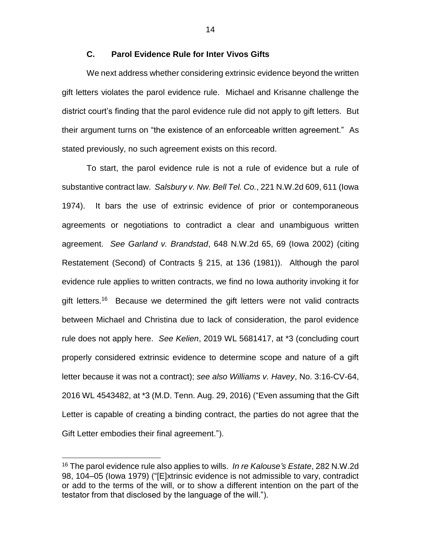# **C. Parol Evidence Rule for Inter Vivos Gifts**

We next address whether considering extrinsic evidence beyond the written gift letters violates the parol evidence rule. Michael and Krisanne challenge the district court's finding that the parol evidence rule did not apply to gift letters. But their argument turns on "the existence of an enforceable written agreement." As stated previously, no such agreement exists on this record.

To start, the parol evidence rule is not a rule of evidence but a rule of substantive contract law. *Salsbury v. Nw. Bell Tel. Co.*, 221 N.W.2d 609, 611 (Iowa 1974). It bars the use of extrinsic evidence of prior or contemporaneous agreements or negotiations to contradict a clear and unambiguous written agreement. *See Garland v. Brandstad*, 648 N.W.2d 65, 69 (Iowa 2002) (citing Restatement (Second) of Contracts § 215, at 136 (1981)). Although the parol evidence rule applies to written contracts, we find no Iowa authority invoking it for gift letters.<sup>16</sup> Because we determined the gift letters were not valid contracts between Michael and Christina due to lack of consideration, the parol evidence rule does not apply here. *See Kelien*, 2019 WL 5681417, at \*3 (concluding court properly considered extrinsic evidence to determine scope and nature of a gift letter because it was not a contract); *see also Williams v. Havey*, No. 3:16-CV-64, 2016 WL 4543482, at \*3 (M.D. Tenn. Aug. 29, 2016) ("Even assuming that the Gift Letter is capable of creating a binding contract, the parties do not agree that the Gift Letter embodies their final agreement.").

 $\overline{a}$ 

<sup>16</sup> The parol evidence rule also applies to wills. *In re Kalouse's Estate*, 282 N.W.2d 98, 104–05 (Iowa 1979) ("[E]xtrinsic evidence is not admissible to vary, contradict or add to the terms of the will, or to show a different intention on the part of the testator from that disclosed by the language of the will.").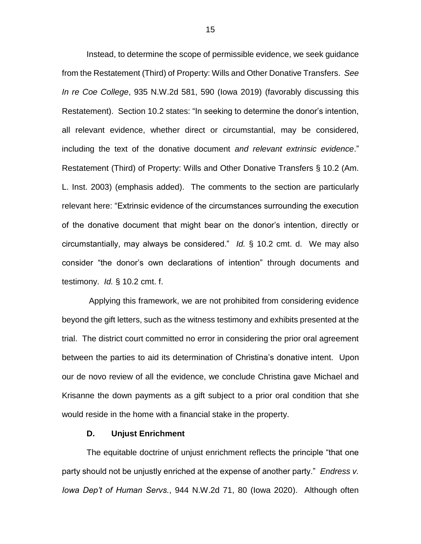Instead, to determine the scope of permissible evidence, we seek guidance from the Restatement (Third) of Property: Wills and Other Donative Transfers. *See In re Coe College*, 935 N.W.2d 581, 590 (Iowa 2019) (favorably discussing this Restatement). Section 10.2 states: "In seeking to determine the donor's intention, all relevant evidence, whether direct or circumstantial, may be considered, including the text of the donative document *and relevant extrinsic evidence*." Restatement (Third) of Property: Wills and Other Donative Transfers § 10.2 (Am. L. Inst. 2003) (emphasis added). The comments to the section are particularly relevant here: "Extrinsic evidence of the circumstances surrounding the execution of the donative document that might bear on the donor's intention, directly or circumstantially, may always be considered." *Id.* § 10.2 cmt. d. We may also consider "the donor's own declarations of intention" through documents and testimony. *Id.* § 10.2 cmt. f.

Applying this framework, we are not prohibited from considering evidence beyond the gift letters, such as the witness testimony and exhibits presented at the trial. The district court committed no error in considering the prior oral agreement between the parties to aid its determination of Christina's donative intent. Upon our de novo review of all the evidence, we conclude Christina gave Michael and Krisanne the down payments as a gift subject to a prior oral condition that she would reside in the home with a financial stake in the property.

### **D. Unjust Enrichment**

The equitable doctrine of unjust enrichment reflects the principle "that one party should not be unjustly enriched at the expense of another party." *Endress v. Iowa Dep't of Human Servs.*, 944 N.W.2d 71, 80 (Iowa 2020). Although often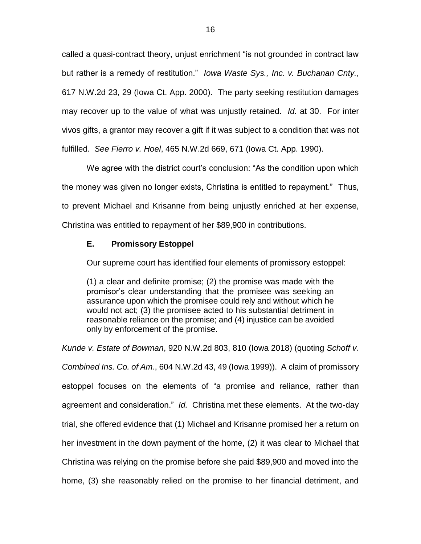called a quasi-contract theory, unjust enrichment "is not grounded in contract law but rather is a remedy of restitution." *Iowa Waste Sys., Inc. v. Buchanan Cnty.*, 617 N.W.2d 23, 29 (Iowa Ct. App. 2000). The party seeking restitution damages may recover up to the value of what was unjustly retained. *Id.* at 30. For inter vivos gifts, a grantor may recover a gift if it was subject to a condition that was not fulfilled. *See Fierro v. Hoel*, 465 N.W.2d 669, 671 (Iowa Ct. App. 1990).

We agree with the district court's conclusion: "As the condition upon which the money was given no longer exists, Christina is entitled to repayment." Thus, to prevent Michael and Krisanne from being unjustly enriched at her expense, Christina was entitled to repayment of her \$89,900 in contributions.

### **E. Promissory Estoppel**

Our supreme court has identified four elements of promissory estoppel:

(1) a clear and definite promise; (2) the promise was made with the promisor's clear understanding that the promisee was seeking an assurance upon which the promisee could rely and without which he would not act; (3) the promisee acted to his substantial detriment in reasonable reliance on the promise; and (4) injustice can be avoided only by enforcement of the promise.

*Kunde v. Estate of Bowman*, 920 N.W.2d 803, 810 (Iowa 2018) (quoting *Schoff v. Combined Ins. Co. of Am.*, 604 N.W.2d 43, 49 (Iowa 1999)). A claim of promissory estoppel focuses on the elements of "a promise and reliance, rather than agreement and consideration." *Id.* Christina met these elements. At the two-day trial, she offered evidence that (1) Michael and Krisanne promised her a return on her investment in the down payment of the home, (2) it was clear to Michael that Christina was relying on the promise before she paid \$89,900 and moved into the home, (3) she reasonably relied on the promise to her financial detriment, and